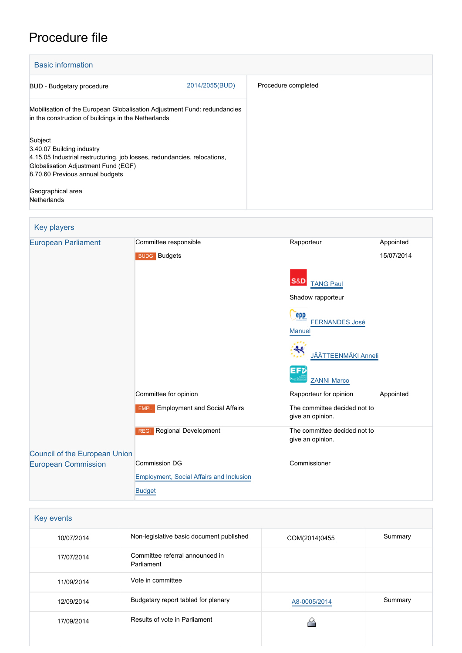# Procedure file

| <b>Basic information</b>                                                                                                                                                                   |                |                     |
|--------------------------------------------------------------------------------------------------------------------------------------------------------------------------------------------|----------------|---------------------|
| <b>BUD</b> - Budgetary procedure                                                                                                                                                           | 2014/2055(BUD) | Procedure completed |
| Mobilisation of the European Globalisation Adjustment Fund: redundancies<br>in the construction of buildings in the Netherlands                                                            |                |                     |
| Subject<br>3.40.07 Building industry<br>4.15.05 Industrial restructuring, job losses, redundancies, relocations,<br>Globalisation Adjustment Fund (EGF)<br>8.70.60 Previous annual budgets |                |                     |
| Geographical area<br><b>Netherlands</b>                                                                                                                                                    |                |                     |

## Key players

| <b>European Parliament</b>    | Committee responsible                      | Rapporteur                                           | Appointed  |
|-------------------------------|--------------------------------------------|------------------------------------------------------|------------|
|                               | <b>BUDG</b> Budgets                        |                                                      | 15/07/2014 |
|                               |                                            | S&D<br><b>TANG Paul</b>                              |            |
|                               |                                            | Shadow rapporteur                                    |            |
|                               |                                            | <b>epp</b><br><b>FERNANDES José</b><br><b>Manuel</b> |            |
|                               |                                            | <b>JÄÄTTEENMÄKI Anneli</b>                           |            |
|                               |                                            | EFD<br><b>ZANNI Marco</b>                            |            |
|                               | Committee for opinion                      | Rapporteur for opinion                               | Appointed  |
|                               | <b>EMPL</b> Employment and Social Affairs  | The committee decided not to<br>give an opinion.     |            |
|                               | <b>Regional Development</b><br><b>REGI</b> | The committee decided not to<br>give an opinion.     |            |
| Council of the European Union |                                            |                                                      |            |
| <b>European Commission</b>    | <b>Commission DG</b>                       | Commissioner                                         |            |
|                               | Employment, Social Affairs and Inclusion   |                                                      |            |
|                               | <b>Budget</b>                              |                                                      |            |

| Key events |                                               |               |         |
|------------|-----------------------------------------------|---------------|---------|
| 10/07/2014 | Non-legislative basic document published      | COM(2014)0455 | Summary |
| 17/07/2014 | Committee referral announced in<br>Parliament |               |         |
| 11/09/2014 | Vote in committee                             |               |         |
| 12/09/2014 | Budgetary report tabled for plenary           | A8-0005/2014  | Summary |
| 17/09/2014 | Results of vote in Parliament                 |               |         |
|            |                                               |               |         |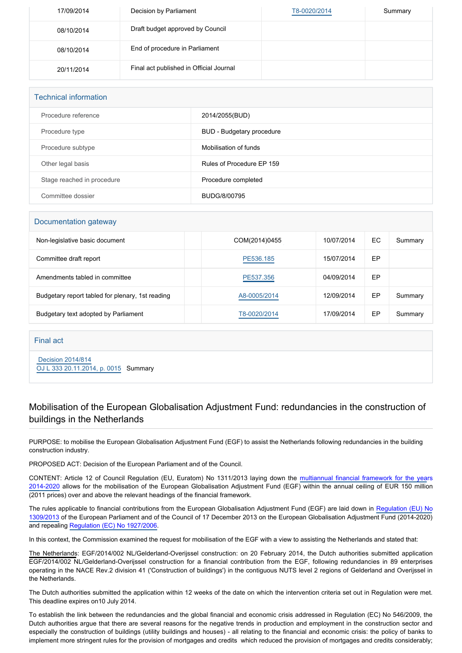| 17/09/2014 | Decision by Parliament                  | T8-0020/2014 | Summary |
|------------|-----------------------------------------|--------------|---------|
| 08/10/2014 | Draft budget approved by Council        |              |         |
| 08/10/2014 | End of procedure in Parliament          |              |         |
| 20/11/2014 | Final act published in Official Journal |              |         |

| <b>Technical information</b> |                           |  |
|------------------------------|---------------------------|--|
| Procedure reference          | 2014/2055(BUD)            |  |
| Procedure type               | BUD - Budgetary procedure |  |
| Procedure subtype            | Mobilisation of funds     |  |
| Other legal basis            | Rules of Procedure EP 159 |  |
| Stage reached in procedure   | Procedure completed       |  |
| Committee dossier            | BUDG/8/00795              |  |

#### Documentation gateway

| Non-legislative basic document                   | COM(2014)0455 | 10/07/2014 | ЕC | Summary |
|--------------------------------------------------|---------------|------------|----|---------|
| Committee draft report                           | PE536.185     | 15/07/2014 | ЕP |         |
| Amendments tabled in committee                   | PE537.356     | 04/09/2014 | EР |         |
| Budgetary report tabled for plenary, 1st reading | A8-0005/2014  | 12/09/2014 | ЕP | Summary |
| Budgetary text adopted by Parliament             | T8-0020/2014  | 17/09/2014 | EP | Summary |

#### Final act

 [Decision 2014/814](https://eur-lex.europa.eu/smartapi/cgi/sga_doc?smartapi!celexplus!prod!CELEXnumdoc&lg=EN&numdoc=32014D0814) [OJ L 333 20.11.2014, p. 0015](https://eur-lex.europa.eu/legal-content/EN/TXT/?uri=OJ:L:2014:333:TOC) Summary

### Mobilisation of the European Globalisation Adjustment Fund: redundancies in the construction of buildings in the Netherlands

PURPOSE: to mobilise the European Globalisation Adjustment Fund (EGF) to assist the Netherlands following redundancies in the building construction industry.

PROPOSED ACT: Decision of the European Parliament and of the Council.

CONTENT: Article 12 of Council Regulation (EU, Euratom) No 1311/2013 laying down the [multiannual financial framework for the yea](http://www.europarl.europa.eu/oeil/popups/ficheprocedure.do?lang=EN&reference=2011/0177(APP))rs [2014-2020](http://www.europarl.europa.eu/oeil/popups/ficheprocedure.do?lang=EN&reference=2011/0177(APP)) allows for the mobilisation of the European Globalisation Adjustment Fund (EGF) within the annual ceiling of EUR 150 million (2011 prices) over and above the relevant headings of the financial framework.

The rules applicable to financial contributions from the European Globalisation Adjustment Fund (EGF) are laid down in [Regulation \(EU\) No](http://www.europarl.europa.eu/oeil/popups/ficheprocedure.do?lang=EN&reference=2011/0269(COD)) [1309/2013](http://www.europarl.europa.eu/oeil/popups/ficheprocedure.do?lang=EN&reference=2011/0269(COD)) of the European Parliament and of the Council of 17 December 2013 on the European Globalisation Adjustment Fund (2014-2020) and repealing [Regulation \(EC\) No 1927/2006](http://www.europarl.europa.eu/oeil/FindByProcnum.do?lang=en&procnum=COD/2006/0033).

In this context, the Commission examined the request for mobilisation of the EGF with a view to assisting the Netherlands and stated that:

The Netherlands: EGF/2014/002 NL/Gelderland-Overijssel construction: on 20 February 2014, the Dutch authorities submitted application EGF/2014/002 NL/Gelderland-Overijssel construction for a financial contribution from the EGF, following redundancies in 89 enterprises operating in the NACE Rev.2 division 41 ('Construction of buildings') in the contiguous NUTS level 2 regions of Gelderland and Overijssel in the Netherlands.

The Dutch authorities submitted the application within 12 weeks of the date on which the intervention criteria set out in Regulation were met. This deadline expires on10 July 2014.

To establish the link between the redundancies and the global financial and economic crisis addressed in Regulation (EC) No 546/2009, the Dutch authorities argue that there are several reasons for the negative trends in production and employment in the construction sector and especially the construction of buildings (utility buildings and houses) - all relating to the financial and economic crisis: the policy of banks to implement more stringent rules for the provision of mortgages and credits which reduced the provision of mortgages and credits considerably;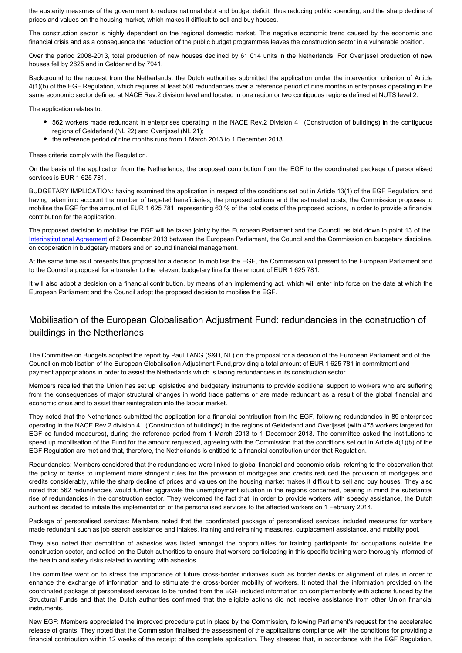the austerity measures of the government to reduce national debt and budget deficit thus reducing public spending; and the sharp decline of prices and values on the housing market, which makes it difficult to sell and buy houses.

The construction sector is highly dependent on the regional domestic market. The negative economic trend caused by the economic and financial crisis and as a consequence the reduction of the public budget programmes leaves the construction sector in a vulnerable position.

Over the period 2008-2013, total production of new houses declined by 61 014 units in the Netherlands. For Overijssel production of new houses fell by 2625 and in Gelderland by 7941.

Background to the request from the Netherlands: the Dutch authorities submitted the application under the intervention criterion of Article 4(1)(b) of the EGF Regulation, which requires at least 500 redundancies over a reference period of nine months in enterprises operating in the same economic sector defined at NACE Rev.2 division level and located in one region or two contiguous regions defined at NUTS level 2.

The application relates to:

- 562 workers made redundant in enterprises operating in the NACE Rev.2 Division 41 (Construction of buildings) in the contiguous regions of Gelderland (NL 22) and Overijssel (NL 21);
- the reference period of nine months runs from 1 March 2013 to 1 December 2013.

These criteria comply with the Regulation.

On the basis of the application from the Netherlands, the proposed contribution from the EGF to the coordinated package of personalised services is EUR 1 625 781.

BUDGETARY IMPLICATION: having examined the application in respect of the conditions set out in Article 13(1) of the EGF Regulation, and having taken into account the number of targeted beneficiaries, the proposed actions and the estimated costs, the Commission proposes to mobilise the EGF for the amount of EUR 1 625 781, representing 60 % of the total costs of the proposed actions, in order to provide a financial contribution for the application.

The proposed decision to mobilise the EGF will be taken jointly by the European Parliament and the Council, as laid down in point 13 of the [Interinstitutional Agreement](http://www.europarl.europa.eu/oeil/popups/ficheprocedure.do?lang=EN&reference=2011/2152(ACI)) of 2 December 2013 between the European Parliament, the Council and the Commission on budgetary discipline, on cooperation in budgetary matters and on sound financial management.

At the same time as it presents this proposal for a decision to mobilise the EGF, the Commission will present to the European Parliament and to the Council a proposal for a transfer to the relevant budgetary line for the amount of EUR 1 625 781.

It will also adopt a decision on a financial contribution, by means of an implementing act, which will enter into force on the date at which the European Parliament and the Council adopt the proposed decision to mobilise the EGF.

## Mobilisation of the European Globalisation Adjustment Fund: redundancies in the construction of buildings in the Netherlands

The Committee on Budgets adopted the report by Paul TANG (S&D, NL) on the proposal for a decision of the European Parliament and of the Council on mobilisation of the European Globalisation Adjustment Fund, providing a total amount of EUR 1 625 781 in commitment and payment appropriations in order to assist the Netherlands which is facing redundancies in its construction sector.

Members recalled that the Union has set up legislative and budgetary instruments to provide additional support to workers who are suffering from the consequences of major structural changes in world trade patterns or are made redundant as a result of the global financial and economic crisis and to assist their reintegration into the labour market.

They noted that the Netherlands submitted the application for a financial contribution from the EGF, following redundancies in 89 enterprises operating in the NACE Rev.2 division 41 ('Construction of buildings') in the regions of Gelderland and Overijssel (with 475 workers targeted for EGF co-funded measures), during the reference period from 1 March 2013 to 1 December 2013. The committee asked the institutions to speed up mobilisation of the Fund for the amount requested, agreeing with the Commission that the conditions set out in Article 4(1)(b) of the EGF Regulation are met and that, therefore, the Netherlands is entitled to a financial contribution under that Regulation.

Redundancies: Members considered that the redundancies were linked to global financial and economic crisis, referring to the observation that the policy of banks to implement more stringent rules for the provision of mortgages and credits reduced the provision of mortgages and credits considerably, while the sharp decline of prices and values on the housing market makes it difficult to sell and buy houses. They also noted that 562 redundancies would further aggravate the unemployment situation in the regions concerned, bearing in mind the substantial rise of redundancies in the construction sector. They welcomed the fact that, in order to provide workers with speedy assistance, the Dutch authorities decided to initiate the implementation of the personalised services to the affected workers on 1 February 2014.

Package of personalised services: Members noted that the coordinated package of personalised services included measures for workers made redundant such as job search assistance and intakes, training and retraining measures, outplacement assistance, and mobility pool.

They also noted that demolition of asbestos was listed amongst the opportunities for training participants for occupations outside the construction sector, and called on the Dutch authorities to ensure that workers participating in this specific training were thoroughly informed of the health and safety risks related to working with asbestos.

The committee went on to stress the importance of future cross-border initiatives such as border desks or alignment of rules in order to enhance the exchange of information and to stimulate the cross-border mobility of workers. It noted that the information provided on the coordinated package of personalised services to be funded from the EGF included information on complementarity with actions funded by the Structural Funds and that the Dutch authorities confirmed that the eligible actions did not receive assistance from other Union financial instruments.

New EGF: Members appreciated the improved procedure put in place by the Commission, following Parliament's request for the accelerated release of grants. They noted that the Commission finalised the assessment of the applications compliance with the conditions for providing a financial contribution within 12 weeks of the receipt of the complete application. They stressed that, in accordance with the EGF Regulation,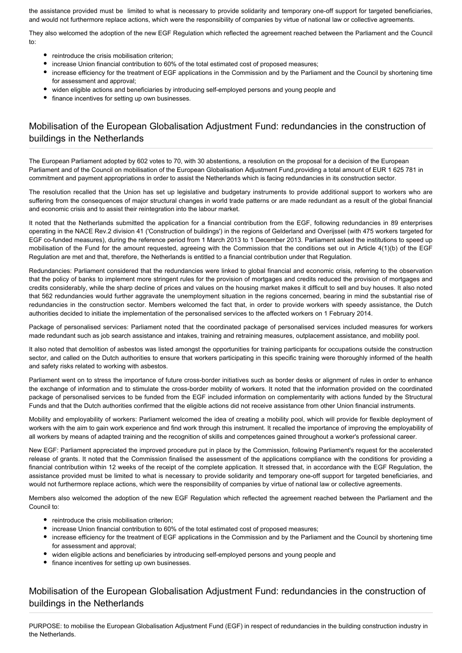the assistance provided must be limited to what is necessary to provide solidarity and temporary one-off support for targeted beneficiaries, and would not furthermore replace actions, which were the responsibility of companies by virtue of national law or collective agreements.

They also welcomed the adoption of the new EGF Regulation which reflected the agreement reached between the Parliament and the Council to:

- reintroduce the crisis mobilisation criterion;
- **increase Union financial contribution to 60% of the total estimated cost of proposed measures;**
- increase efficiency for the treatment of EGF applications in the Commission and by the Parliament and the Council by shortening time for assessment and approval;
- widen eligible actions and beneficiaries by introducing self-employed persons and young people and
- finance incentives for setting up own businesses.

### Mobilisation of the European Globalisation Adjustment Fund: redundancies in the construction of buildings in the Netherlands

The European Parliament adopted by 602 votes to 70, with 30 abstentions, a resolution on the proposal for a decision of the European Parliament and of the Council on mobilisation of the European Globalisation Adjustment Fund,providing a total amount of EUR 1 625 781 in commitment and payment appropriations in order to assist the Netherlands which is facing redundancies in its construction sector.

The resolution recalled that the Union has set up legislative and budgetary instruments to provide additional support to workers who are suffering from the consequences of major structural changes in world trade patterns or are made redundant as a result of the global financial and economic crisis and to assist their reintegration into the labour market.

It noted that the Netherlands submitted the application for a financial contribution from the EGF, following redundancies in 89 enterprises operating in the NACE Rev.2 division 41 ('Construction of buildings') in the regions of Gelderland and Overijssel (with 475 workers targeted for EGF co-funded measures), during the reference period from 1 March 2013 to 1 December 2013. Parliament asked the institutions to speed up mobilisation of the Fund for the amount requested, agreeing with the Commission that the conditions set out in Article 4(1)(b) of the EGF Regulation are met and that, therefore, the Netherlands is entitled to a financial contribution under that Regulation.

Redundancies: Parliament considered that the redundancies were linked to global financial and economic crisis, referring to the observation that the policy of banks to implement more stringent rules for the provision of mortgages and credits reduced the provision of mortgages and credits considerably, while the sharp decline of prices and values on the housing market makes it difficult to sell and buy houses. It also noted that 562 redundancies would further aggravate the unemployment situation in the regions concerned, bearing in mind the substantial rise of redundancies in the construction sector. Members welcomed the fact that, in order to provide workers with speedy assistance, the Dutch authorities decided to initiate the implementation of the personalised services to the affected workers on 1 February 2014.

Package of personalised services: Parliament noted that the coordinated package of personalised services included measures for workers made redundant such as job search assistance and intakes, training and retraining measures, outplacement assistance, and mobility pool.

It also noted that demolition of asbestos was listed amongst the opportunities for training participants for occupations outside the construction sector, and called on the Dutch authorities to ensure that workers participating in this specific training were thoroughly informed of the health and safety risks related to working with asbestos.

Parliament went on to stress the importance of future cross-border initiatives such as border desks or alignment of rules in order to enhance the exchange of information and to stimulate the cross-border mobility of workers. It noted that the information provided on the coordinated package of personalised services to be funded from the EGF included information on complementarity with actions funded by the Structural Funds and that the Dutch authorities confirmed that the eligible actions did not receive assistance from other Union financial instruments.

Mobility and employability of workers: Parliament welcomed the idea of creating a mobility pool, which will provide for flexible deployment of workers with the aim to gain work experience and find work through this instrument. It recalled the importance of improving the employability of all workers by means of adapted training and the recognition of skills and competences gained throughout a worker's professional career.

New EGF: Parliament appreciated the improved procedure put in place by the Commission, following Parliament's request for the accelerated release of grants. It noted that the Commission finalised the assessment of the applications compliance with the conditions for providing a financial contribution within 12 weeks of the receipt of the complete application. It stressed that, in accordance with the EGF Regulation, the assistance provided must be limited to what is necessary to provide solidarity and temporary one-off support for targeted beneficiaries, and would not furthermore replace actions, which were the responsibility of companies by virtue of national law or collective agreements.

Members also welcomed the adoption of the new EGF Regulation which reflected the agreement reached between the Parliament and the Council to:

- reintroduce the crisis mobilisation criterion;
- increase Union financial contribution to 60% of the total estimated cost of proposed measures;
- increase efficiency for the treatment of EGF applications in the Commission and by the Parliament and the Council by shortening time for assessment and approval;
- widen eligible actions and beneficiaries by introducing self-employed persons and young people and
- finance incentives for setting up own businesses.

#### Mobilisation of the European Globalisation Adjustment Fund: redundancies in the construction of buildings in the Netherlands

PURPOSE: to mobilise the European Globalisation Adjustment Fund (EGF) in respect of redundancies in the building construction industry in the Netherlands.